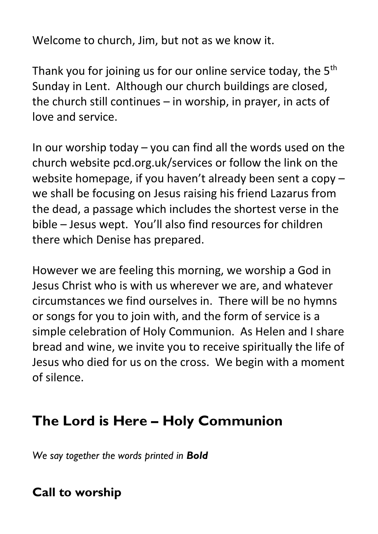Welcome to church, Jim, but not as we know it.

Thank you for joining us for our online service today, the  $5<sup>th</sup>$ Sunday in Lent. Although our church buildings are closed, the church still continues – in worship, in prayer, in acts of love and service.

In our worship today – you can find all the words used on the church website pcd.org.uk/services or follow the link on the website homepage, if you haven't already been sent a copy – we shall be focusing on Jesus raising his friend Lazarus from the dead, a passage which includes the shortest verse in the bible – Jesus wept. You'll also find resources for children there which Denise has prepared.

However we are feeling this morning, we worship a God in Jesus Christ who is with us wherever we are, and whatever circumstances we find ourselves in. There will be no hymns or songs for you to join with, and the form of service is a simple celebration of Holy Communion. As Helen and I share bread and wine, we invite you to receive spiritually the life of Jesus who died for us on the cross. We begin with a moment of silence.

# **The Lord is Here – Holy Communion**

*We say together the words printed in Bold*

# **Call to worship**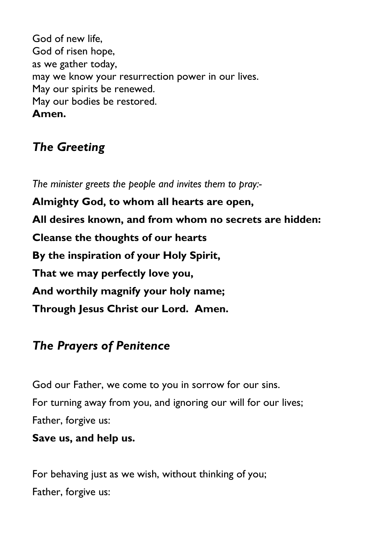God of new life, God of risen hope, as we gather today, may we know your resurrection power in our lives. May our spirits be renewed. May our bodies be restored. **Amen.**

## *The Greeting*

*The minister greets the people and invites them to pray:-* **Almighty God, to whom all hearts are open, All desires known, and from whom no secrets are hidden: Cleanse the thoughts of our hearts By the inspiration of your Holy Spirit, That we may perfectly love you, And worthily magnify your holy name; Through Jesus Christ our Lord. Amen.**

## *The Prayers of Penitence*

God our Father, we come to you in sorrow for our sins. For turning away from you, and ignoring our will for our lives; Father, forgive us:

### **Save us, and help us.**

For behaving just as we wish, without thinking of you; Father, forgive us: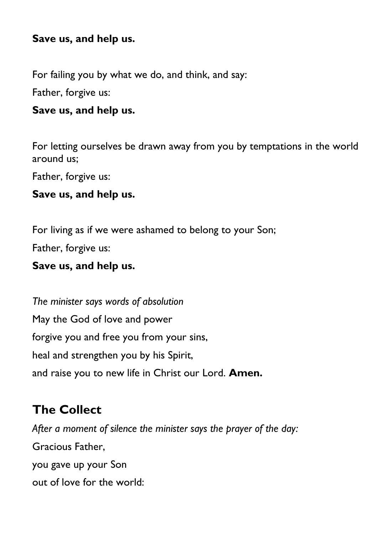#### **Save us, and help us.**

For failing you by what we do, and think, and say:

Father, forgive us:

#### **Save us, and help us.**

For letting ourselves be drawn away from you by temptations in the world around us;

Father, forgive us:

#### **Save us, and help us.**

For living as if we were ashamed to belong to your Son;

Father, forgive us:

#### **Save us, and help us.**

*The minister says words of absolution* May the God of love and power forgive you and free you from your sins, heal and strengthen you by his Spirit, and raise you to new life in Christ our Lord. **Amen.**

### **The Collect**

*After a moment of silence the minister says the prayer of the day:* Gracious Father, you gave up your Son out of love for the world: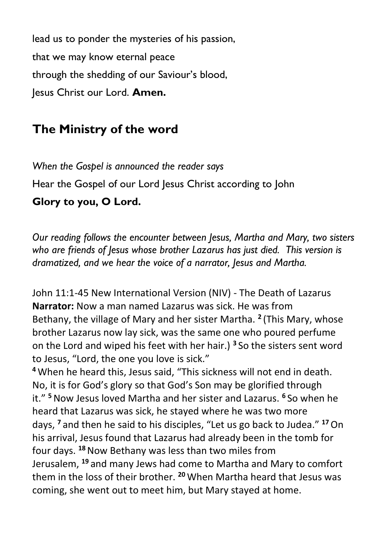lead us to ponder the mysteries of his passion, that we may know eternal peace through the shedding of our Saviour's blood, Jesus Christ our Lord. **Amen.**

## **The Ministry of the word**

*When the Gospel is announced the reader says* Hear the Gospel of our Lord Jesus Christ according to John **Glory to you, O Lord.**

*Our reading follows the encounter between Jesus, Martha and Mary, two sisters who are friends of Jesus whose brother Lazarus has just died. This version is dramatized, and we hear the voice of a narrator, Jesus and Martha.*

John 11:1-45 New International Version (NIV) - The Death of Lazarus **Narrator:** Now a man named Lazarus was sick. He was from Bethany, the village of Mary and her sister Martha. **<sup>2</sup>** (This Mary, whose brother Lazarus now lay sick, was the same one who poured perfume on the Lord and wiped his feet with her hair.) **<sup>3</sup>** So the sisters sent word to Jesus, "Lord, the one you love is sick."

**<sup>4</sup>** When he heard this, Jesus said, "This sickness will not end in death. No, it is for God's glory so that God's Son may be glorified through it." **<sup>5</sup>**Now Jesus loved Martha and her sister and Lazarus. **<sup>6</sup>** So when he heard that Lazarus was sick, he stayed where he was two more days, **<sup>7</sup>** and then he said to his disciples, "Let us go back to Judea." **<sup>17</sup>**On his arrival, Jesus found that Lazarus had already been in the tomb for four days. **<sup>18</sup>**Now Bethany was less than two miles from Jerusalem, **<sup>19</sup>** and many Jews had come to Martha and Mary to comfort them in the loss of their brother. **<sup>20</sup>** When Martha heard that Jesus was coming, she went out to meet him, but Mary stayed at home.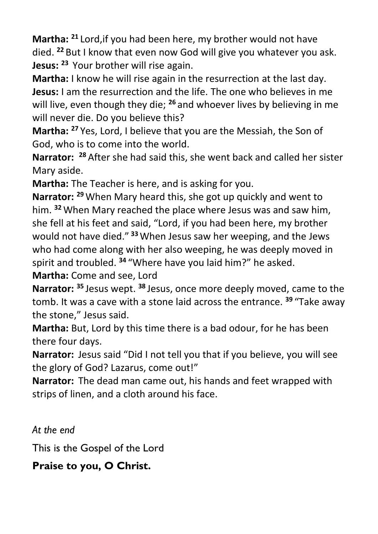**Martha: <sup>21</sup>** Lord,if you had been here, my brother would not have died. **<sup>22</sup>** But I know that even now God will give you whatever you ask. **Jesus: <sup>23</sup>** Your brother will rise again.

**Martha:** I know he will rise again in the resurrection at the last day. **Jesus:** I am the resurrection and the life. The one who believes in me will live, even though they die; **<sup>26</sup>** and whoever lives by believing in me will never die. Do you believe this?

**Martha: <sup>27</sup>** Yes, Lord, I believe that you are the Messiah, the Son of God, who is to come into the world.

**Narrator: <sup>28</sup>** After she had said this, she went back and called her sister Mary aside.

**Martha:** The Teacher is here, and is asking for you.

**Narrator: <sup>29</sup>** When Mary heard this, she got up quickly and went to him. **<sup>32</sup>** When Mary reached the place where Jesus was and saw him, she fell at his feet and said, "Lord, if you had been here, my brother would not have died." **<sup>33</sup>**When Jesus saw her weeping, and the Jews who had come along with her also weeping, he was deeply moved in spirit and troubled. **<sup>34</sup>** "Where have you laid him?" he asked.

**Martha:** Come and see, Lord

**Narrator: <sup>35</sup>** Jesus wept. **<sup>38</sup>** Jesus, once more deeply moved, came to the tomb. It was a cave with a stone laid across the entrance. **<sup>39</sup>** "Take away the stone," Jesus said.

**Martha:** But, Lord by this time there is a bad odour, for he has been there four days.

**Narrator:** Jesus said "Did I not tell you that if you believe, you will see the glory of God? Lazarus, come out!"

**Narrator:** The dead man came out, his hands and feet wrapped with strips of linen, and a cloth around his face.

*At the end*

This is the Gospel of the Lord

**Praise to you, O Christ.**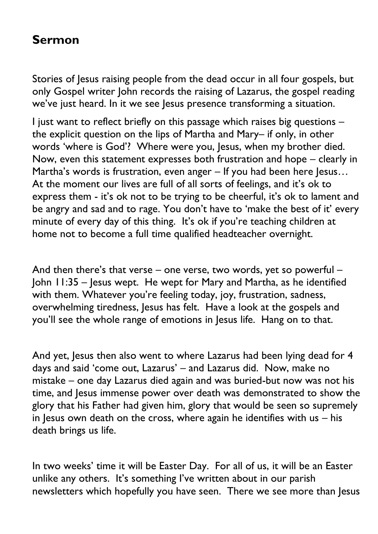### **Sermon**

Stories of Jesus raising people from the dead occur in all four gospels, but only Gospel writer John records the raising of Lazarus, the gospel reading we've just heard. In it we see lesus presence transforming a situation.

I just want to reflect briefly on this passage which raises big questions – the explicit question on the lips of Martha and Mary– if only, in other words 'where is God'? Where were you, Jesus, when my brother died. Now, even this statement expresses both frustration and hope – clearly in Martha's words is frustration, even anger – If you had been here Jesus... At the moment our lives are full of all sorts of feelings, and it's ok to express them - it's ok not to be trying to be cheerful, it's ok to lament and be angry and sad and to rage. You don't have to 'make the best of it' every minute of every day of this thing. It's ok if you're teaching children at home not to become a full time qualified headteacher overnight.

And then there's that verse – one verse, two words, yet so powerful – John 11:35 – Jesus wept. He wept for Mary and Martha, as he identified with them. Whatever you're feeling today, joy, frustration, sadness, overwhelming tiredness, Jesus has felt. Have a look at the gospels and you'll see the whole range of emotions in Jesus life. Hang on to that.

And yet, Jesus then also went to where Lazarus had been lying dead for 4 days and said 'come out, Lazarus' – and Lazarus did. Now, make no mistake – one day Lazarus died again and was buried-but now was not his time, and Jesus immense power over death was demonstrated to show the glory that his Father had given him, glory that would be seen so supremely in Jesus own death on the cross, where again he identifies with us – his death brings us life.

In two weeks' time it will be Easter Day. For all of us, it will be an Easter unlike any others. It's something I've written about in our parish newsletters which hopefully you have seen. There we see more than Jesus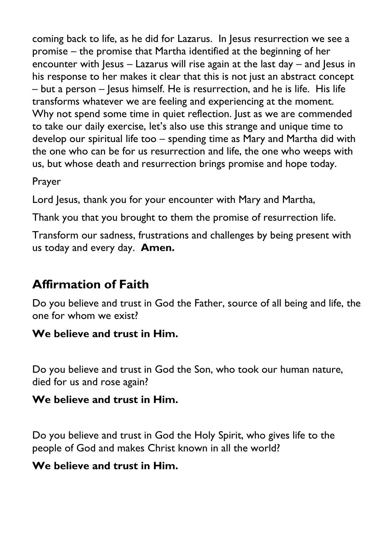coming back to life, as he did for Lazarus. In Jesus resurrection we see a promise – the promise that Martha identified at the beginning of her encounter with Jesus – Lazarus will rise again at the last day – and Jesus in his response to her makes it clear that this is not just an abstract concept – but a person – Jesus himself. He is resurrection, and he is life. His life transforms whatever we are feeling and experiencing at the moment. Why not spend some time in quiet reflection. Just as we are commended to take our daily exercise, let's also use this strange and unique time to develop our spiritual life too – spending time as Mary and Martha did with the one who can be for us resurrection and life, the one who weeps with us, but whose death and resurrection brings promise and hope today.

### Prayer

Lord Jesus, thank you for your encounter with Mary and Martha,

Thank you that you brought to them the promise of resurrection life.

Transform our sadness, frustrations and challenges by being present with us today and every day. **Amen.**

### **Affirmation of Faith**

Do you believe and trust in God the Father, source of all being and life, the one for whom we exist?

### **We believe and trust in Him.**

Do you believe and trust in God the Son, who took our human nature, died for us and rose again?

### **We believe and trust in Him.**

Do you believe and trust in God the Holy Spirit, who gives life to the people of God and makes Christ known in all the world?

### **We believe and trust in Him.**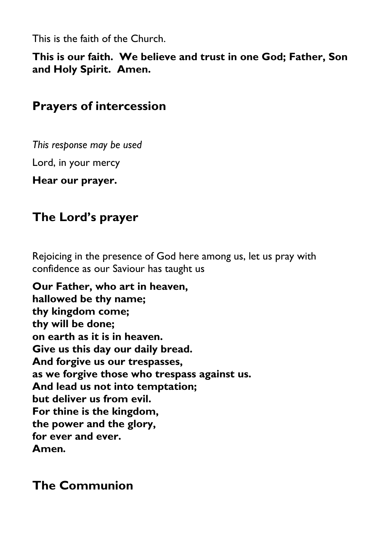This is the faith of the Church.

**This is our faith. We believe and trust in one God; Father, Son and Holy Spirit. Amen.**

### **Prayers of intercession**

*This response may be used*

Lord, in your mercy

**Hear our prayer.**

## **The Lord's prayer**

Rejoicing in the presence of God here among us, let us pray with confidence as our Saviour has taught us

**Our Father, who art in heaven, hallowed be thy name; thy kingdom come; thy will be done; on earth as it is in heaven. Give us this day our daily bread. And forgive us our trespasses, as we forgive those who trespass against us. And lead us not into temptation; but deliver us from evil. For thine is the kingdom, the power and the glory, for ever and ever. Amen***.*

## **The Communion**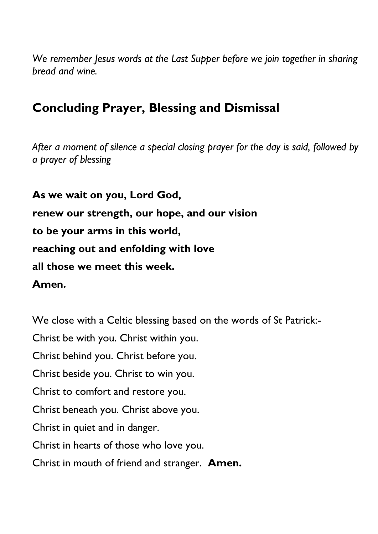*We remember Jesus words at the Last Supper before we join together in sharing bread and wine.*

### **Concluding Prayer, Blessing and Dismissal**

*After a moment of silence a special closing prayer for the day is said, followed by a prayer of blessing*

**As we wait on you, Lord God, renew our strength, our hope, and our vision to be your arms in this world, reaching out and enfolding with love all those we meet this week. Amen.**

We close with a Celtic blessing based on the words of St Patrick:- Christ be with you. Christ within you. Christ behind you. Christ before you. Christ beside you. Christ to win you. Christ to comfort and restore you. Christ beneath you. Christ above you. Christ in quiet and in danger. Christ in hearts of those who love you. Christ in mouth of friend and stranger. **Amen.**